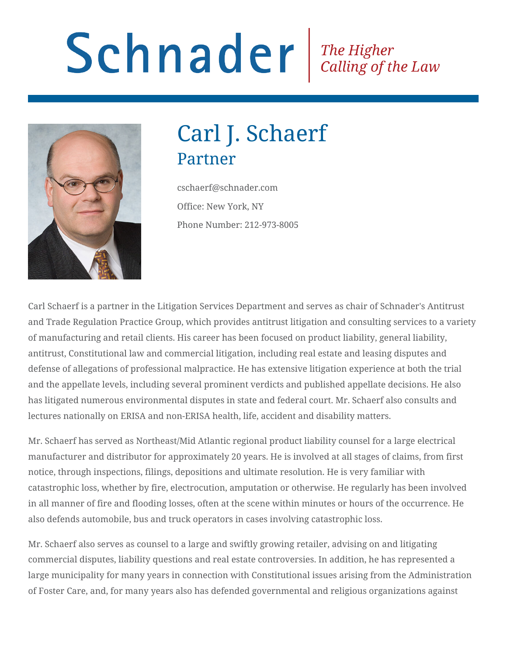# Schnader Fine Higher Calling of the Law



## Carl J. Schaerf Partner

cschaerf@schnader.com Office: New York, NY Phone Number: 212-973-8005

Carl Schaerf is a partner in the Litigation Services Department and serves as chair of Schnader's Antitrust and Trade Regulation Practice Group, which provides antitrust litigation and consulting services to a variety of manufacturing and retail clients. His career has been focused on product liability, general liability, antitrust, Constitutional law and commercial litigation, including real estate and leasing disputes and defense of allegations of professional malpractice. He has extensive litigation experience at both the trial and the appellate levels, including several prominent verdicts and published appellate decisions. He also has litigated numerous environmental disputes in state and federal court. Mr. Schaerf also consults and lectures nationally on ERISA and non-ERISA health, life, accident and disability matters.

Mr. Schaerf has served as Northeast/Mid Atlantic regional product liability counsel for a large electrical manufacturer and distributor for approximately 20 years. He is involved at all stages of claims, from first notice, through inspections, filings, depositions and ultimate resolution. He is very familiar with catastrophic loss, whether by fire, electrocution, amputation or otherwise. He regularly has been involved in all manner of fire and flooding losses, often at the scene within minutes or hours of the occurrence. He also defends automobile, bus and truck operators in cases involving catastrophic loss.

Mr. Schaerf also serves as counsel to a large and swiftly growing retailer, advising on and litigating commercial disputes, liability questions and real estate controversies. In addition, he has represented a large municipality for many years in connection with Constitutional issues arising from the Administration of Foster Care, and, for many years also has defended governmental and religious organizations against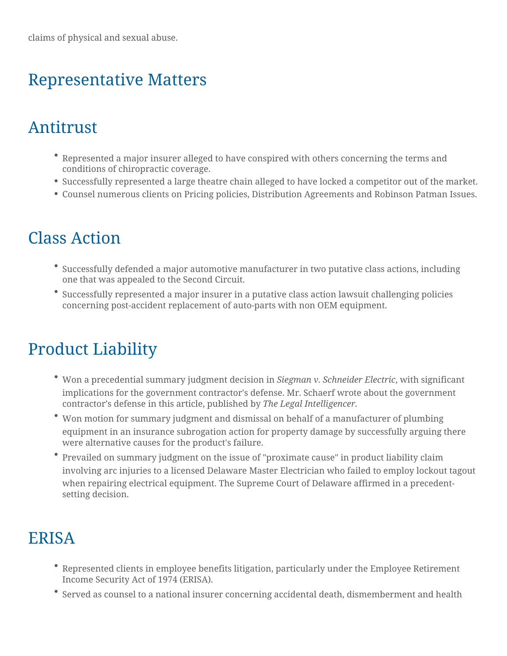#### Representative Matters

#### Antitrust

- $\degree$  Represented a major insurer alleged to have conspired with others cond conditions of chiropractic coverage.
- Successfully represented a large theatre chain alleged to have locked a
- Counsel numerous clients on Pricing policies, Distribution Agreements

## Class Action

- $^{\bullet}$  Successfully defended a major automotive manufacturer in two putative one that was appealed to the Second Circuit.
- $\degree$  Successfully represented a major insurer in a putative class action law concerning post-accident replacement of auto-parts with non OEM equip

## Product Liability

- $^{\bullet}$  Won a precedential summary judgmeSmietgchne.arisivon SichneidewriEhlescitgmiofficant implications for the government contractor's defense. Mr. Schaerf wrote contractor's deftehnisearnt, iche blished holey Legal Intelligencer.
- \* Won motion for summary judgment and dismissal on behalf of a manufac equipment in an insurance subrogation action for property damage by s were alternative causes for the product's failure.
- \* Prevailed on summary judgment on the issue of "proximate cause" in pr involving arc injuries to a licensed Delaware Master Electrician who fai when repairing electrical equipment. The Supreme Court of Delaware af setting decision.

### ERISA

- $^\bullet$  Represented clients in employee benefits litigation, particularly under t Income Security Act of 1974 (ERISA).
- $\degree$  Served as counsel to a national insurer concerning accidental death, di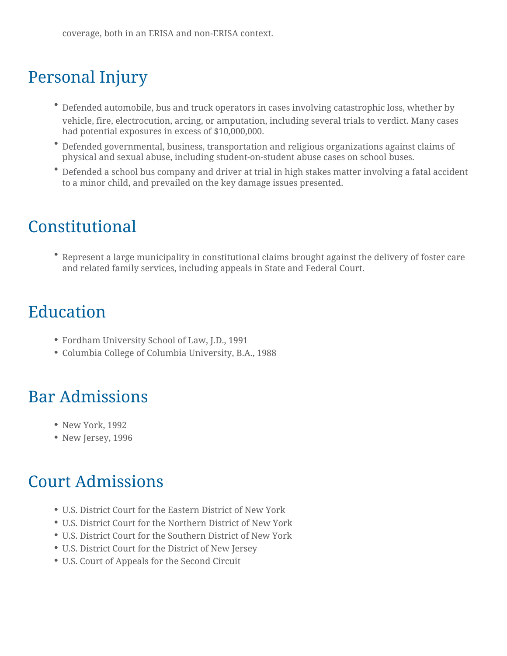## Personal Injury

- Defended automobile, bus and truck operators in cases involving catastrophic loss, whether by vehicle, fire, electrocution, arcing, or amputation, including several trials to verdict. Many cases had potential exposures in excess of \$10,000,000.
- Defended governmental, business, transportation and religious organizations against claims of physical and sexual abuse, including student-on-student abuse cases on school buses.
- Defended a school bus company and driver at trial in high stakes matter involving a fatal accident to a minor child, and prevailed on the key damage issues presented.

## Constitutional

Represent a large municipality in constitutional claims brought against the delivery of foster care and related family services, including appeals in State and Federal Court.

## Education

- Fordham University School of Law, J.D., 1991
- Columbia College of Columbia University, B.A., 1988

## Bar Admissions

- New York, 1992
- New Jersey, 1996

## Court Admissions

- U.S. District Court for the Eastern District of New York
- U.S. District Court for the Northern District of New York
- U.S. District Court for the Southern District of New York
- U.S. District Court for the District of New Jersey
- U.S. Court of Appeals for the Second Circuit